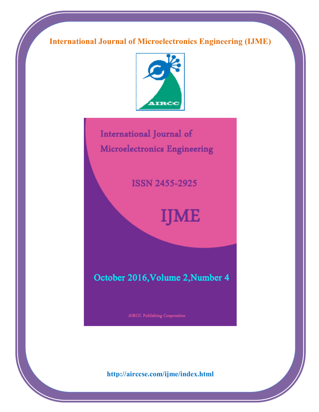# International Journal of Microelectronics Engineering (IJME)



International Journal of Microelectronics Engineering

**ISSN 2455-2925** 

**IJME** 

October 2016, Volume 2, Number 4

**AIRCC Publishing Corporation**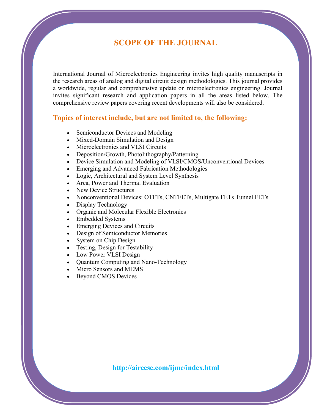# SCOPE OF THE JOURNAL

International Journal of Microelectronics Engineering invites high quality manuscripts in the research areas of analog and digital circuit design methodologies. This journal provides a worldwide, regular and comprehensive update on microelectronics engineering. Journal invites significant research and application papers in all the areas listed below. The comprehensive review papers covering recent developments will also be considered.

#### Topics of interest include, but are not limited to, the following:

- Semiconductor Devices and Modeling
- Mixed-Domain Simulation and Design
- Microelectronics and VLSI Circuits
- Deposition/Growth, Photolithography/Patterning
- Device Simulation and Modeling of VLSI/CMOS/Unconventional Devices
- Emerging and Advanced Fabrication Methodologies
- Logic, Architectural and System Level Synthesis
- Area, Power and Thermal Evaluation
- New Device Structures
- Nonconventional Devices: OTFTs, CNTFETs, Multigate FETs Tunnel FETs
- Display Technology
- Organic and Molecular Flexible Electronics
- Embedded Systems
- Emerging Devices and Circuits
- Design of Semiconductor Memories
- System on Chip Design
- Testing, Design for Testability
- Low Power VLSI Design
- Quantum Computing and Nano-Technology
- Micro Sensors and MEMS
- Beyond CMOS Devices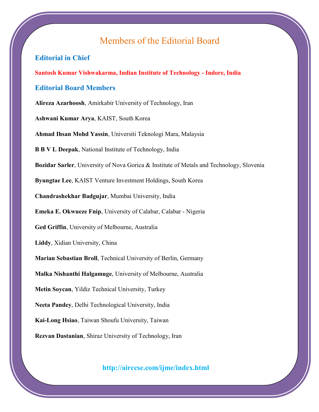# Members of the Editorial Board

#### Editorial in Chief

Santosh Kumar Vishwakarma, Indian Institute of Technology - Indore, India

#### Editorial Board Members

Alireza Azarhoosh, Amirkabir University of Technology, Iran

Ashwani Kumar Arya, KAIST, South Korea

Ahmad Ihsan Mohd Yassin, Universiti Teknologi Mara, Malaysia

**B B V L Deepak, National Institute of Technology, India** 

Bozidar Sarler, University of Nova Gorica & Institute of Metals and Technology, Slovenia

Byungtae Lee, KAIST Venture Investment Holdings, South Korea

Chandrashekhar Badgujar, Mumbai University, India

Emeka E. Okwueze Fnip, University of Calabar, Calabar - Nigeria

Ged Griffin, University of Melbourne, Australia

Liddy, Xidian University, China

Marian Sebastian Broll, Technical University of Berlin, Germany

Malka Nishanthi Halgamuge, University of Melbourne, Australia

Metin Soycan, Yildiz Technical University, Turkey

Neeta Pandey, Delhi Technological University, India

Kai-Long Hsiao, Taiwan Shoufu University, Taiwan

Rezvan Dastanian, Shiraz University of Technology, Iran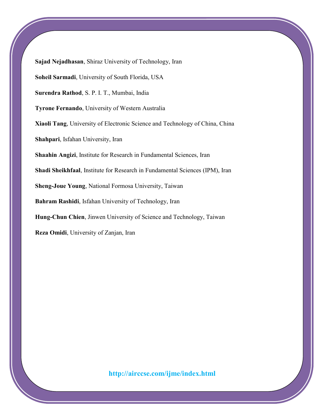Sajad Nejadhasan, Shiraz University of Technology, Iran Soheil Sarmadi, University of South Florida, USA Surendra Rathod, S. P. I. T., Mumbai, India Tyrone Fernando, University of Western Australia Xiaoli Tang, University of Electronic Science and Technology of China, China Shahpari, Isfahan University, Iran Shaahin Angizi, Institute for Research in Fundamental Sciences, Iran Shadi Sheikhfaal, Institute for Research in Fundamental Sciences (IPM), Iran Sheng-Joue Young, National Formosa University, Taiwan Bahram Rashidi, Isfahan University of Technology, Iran Hung-Chun Chien, Jinwen University of Science and Technology, Taiwan Reza Omidi, University of Zanjan, Iran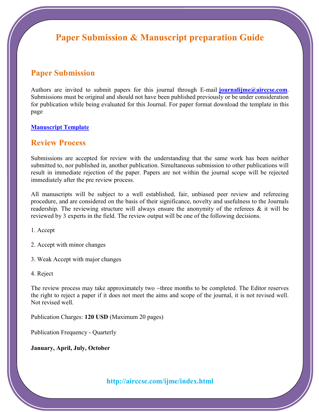# Paper Submission & Manuscript preparation Guide

### Paper Submission

Authors are invited to submit papers for this journal through E-mail journalijme@airccse.com. Submissions must be original and should not have been published previously or be under consideration for publication while being evaluated for this Journal. For paper format download the template in this page

#### Manuscript Template

#### Review Process

Submissions are accepted for review with the understanding that the same work has been neither submitted to, nor published in, another publication. Simultaneous submission to other publications will result in immediate rejection of the paper. Papers are not within the journal scope will be rejected immediately after the pre review process.

All manuscripts will be subject to a well established, fair, unbiased peer review and refereeing procedure, and are considered on the basis of their significance, novelty and usefulness to the Journals readership. The reviewing structure will always ensure the anonymity of the referees  $\&$  it will be reviewed by 3 experts in the field. The review output will be one of the following decisions.

1. Accept

2. Accept with minor changes

- 3. Weak Accept with major changes
- 4. Reject

The review process may take approximately two  $\sim$ three months to be completed. The Editor reserves the right to reject a paper if it does not meet the aims and scope of the journal, it is not revised well. Not revised well.

Publication Charges: 120 USD (Maximum 20 pages)

Publication Frequency - Quarterly

January, April, July, October